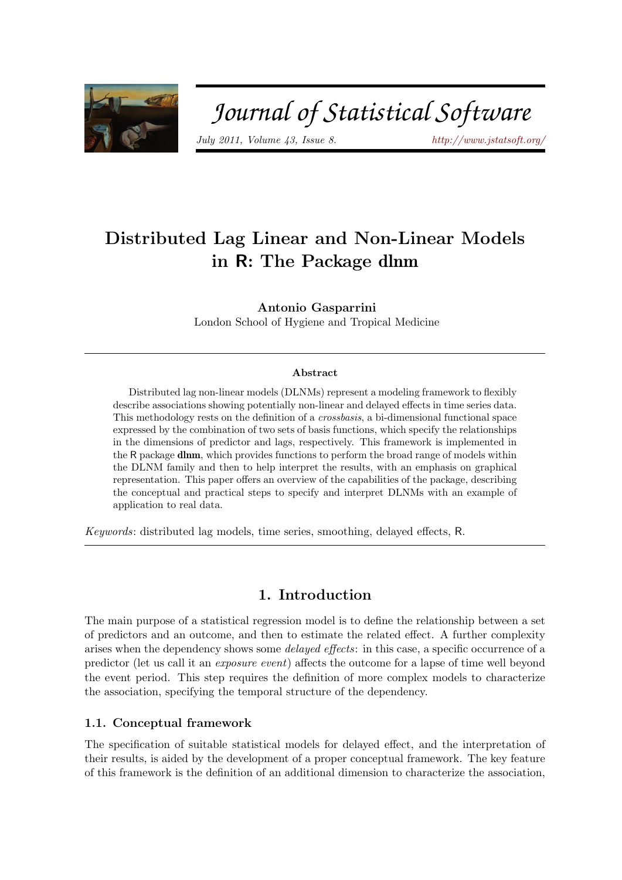

# Journal of Statistical Software

July 2011, Volume 43, Issue 8.  $htp://www.istatsoft.org/$ 

# Distributed Lag Linear and Non-Linear Models in R: The Package dlnm

Antonio Gasparrini

London School of Hygiene and Tropical Medicine

### Abstract

Distributed lag non-linear models (DLNMs) represent a modeling framework to flexibly describe associations showing potentially non-linear and delayed effects in time series data. This methodology rests on the definition of a crossbasis, a bi-dimensional functional space expressed by the combination of two sets of basis functions, which specify the relationships in the dimensions of predictor and lags, respectively. This framework is implemented in the R package dlnm, which provides functions to perform the broad range of models within the DLNM family and then to help interpret the results, with an emphasis on graphical representation. This paper offers an overview of the capabilities of the package, describing the conceptual and practical steps to specify and interpret DLNMs with an example of application to real data.

Keywords: distributed lag models, time series, smoothing, delayed effects, R.

# 1. Introduction

The main purpose of a statistical regression model is to define the relationship between a set of predictors and an outcome, and then to estimate the related effect. A further complexity arises when the dependency shows some delayed effects: in this case, a specific occurrence of a predictor (let us call it an exposure event) affects the outcome for a lapse of time well beyond the event period. This step requires the definition of more complex models to characterize the association, specifying the temporal structure of the dependency.

# <span id="page-0-0"></span>1.1. Conceptual framework

The specification of suitable statistical models for delayed effect, and the interpretation of their results, is aided by the development of a proper conceptual framework. The key feature of this framework is the definition of an additional dimension to characterize the association,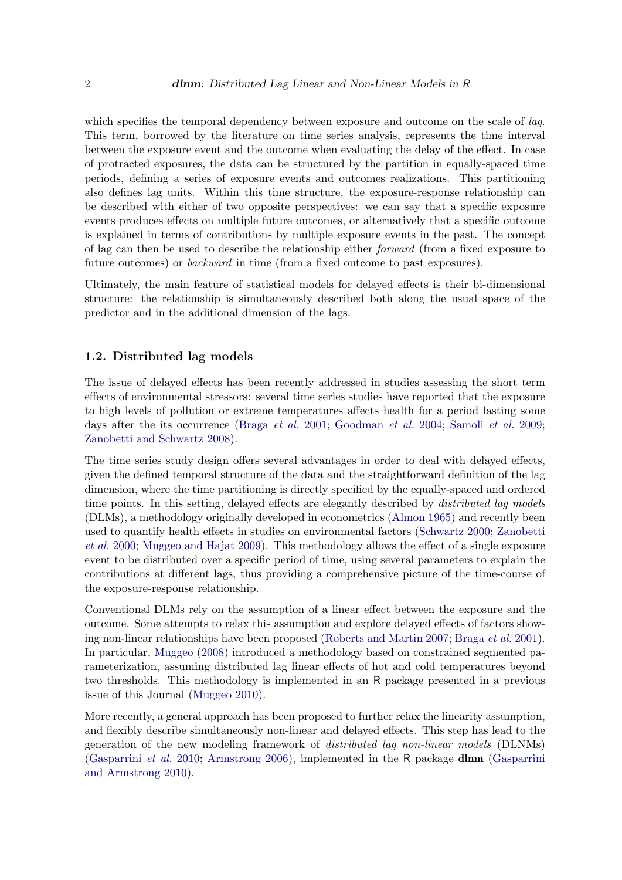which specifies the temporal dependency between exposure and outcome on the scale of *lag*. This term, borrowed by the literature on time series analysis, represents the time interval between the exposure event and the outcome when evaluating the delay of the effect. In case of protracted exposures, the data can be structured by the partition in equally-spaced time periods, defining a series of exposure events and outcomes realizations. This partitioning also defines lag units. Within this time structure, the exposure-response relationship can be described with either of two opposite perspectives: we can say that a specific exposure events produces effects on multiple future outcomes, or alternatively that a specific outcome is explained in terms of contributions by multiple exposure events in the past. The concept of lag can then be used to describe the relationship either forward (from a fixed exposure to future outcomes) or backward in time (from a fixed outcome to past exposures).

Ultimately, the main feature of statistical models for delayed effects is their bi-dimensional structure: the relationship is simultaneously described both along the usual space of the predictor and in the additional dimension of the lags.

### 1.2. Distributed lag models

The issue of delayed effects has been recently addressed in studies assessing the short term effects of environmental stressors: several time series studies have reported that the exposure to high levels of pollution or extreme temperatures affects health for a period lasting some days after the its occurrence [\(Braga](#page-17-0) *et al.* [2001;](#page-17-0) [Goodman](#page-17-1) *et al.* [2004;](#page-17-1) [Samoli](#page-18-0) *et al.* [2009;](#page-18-0) [Zanobetti and Schwartz](#page-18-1) [2008\)](#page-18-1).

The time series study design offers several advantages in order to deal with delayed effects, given the defined temporal structure of the data and the straightforward definition of the lag dimension, where the time partitioning is directly specified by the equally-spaced and ordered time points. In this setting, delayed effects are elegantly described by *distributed lag models* (DLMs), a methodology originally developed in econometrics [\(Almon](#page-17-2) [1965\)](#page-17-2) and recently been used to quantify health effects in studies on environmental factors [\(Schwartz](#page-18-2) [2000;](#page-18-2) [Zanobetti](#page-18-3) [et al.](#page-18-3) [2000;](#page-18-3) [Muggeo and Hajat](#page-17-3) [2009\)](#page-17-3). This methodology allows the effect of a single exposure event to be distributed over a specific period of time, using several parameters to explain the contributions at different lags, thus providing a comprehensive picture of the time-course of the exposure-response relationship.

Conventional DLMs rely on the assumption of a linear effect between the exposure and the outcome. Some attempts to relax this assumption and explore delayed effects of factors showing non-linear relationships have been proposed [\(Roberts and Martin](#page-18-4) [2007;](#page-18-4) [Braga](#page-17-0) et al. [2001\)](#page-17-0). In particular, [Muggeo](#page-17-4) [\(2008\)](#page-17-4) introduced a methodology based on constrained segmented parameterization, assuming distributed lag linear effects of hot and cold temperatures beyond two thresholds. This methodology is implemented in an R package presented in a previous issue of this Journal [\(Muggeo](#page-18-5) [2010\)](#page-18-5).

More recently, a general approach has been proposed to further relax the linearity assumption, and flexibly describe simultaneously non-linear and delayed effects. This step has lead to the generation of the new modeling framework of distributed lag non-linear models (DLNMs) [\(Gasparrini](#page-17-5) et al. [2010;](#page-17-5) [Armstrong](#page-17-6) [2006\)](#page-17-6), implemented in the R package dlnm [\(Gasparrini](#page-17-7) [and Armstrong](#page-17-7) [2010\)](#page-17-7).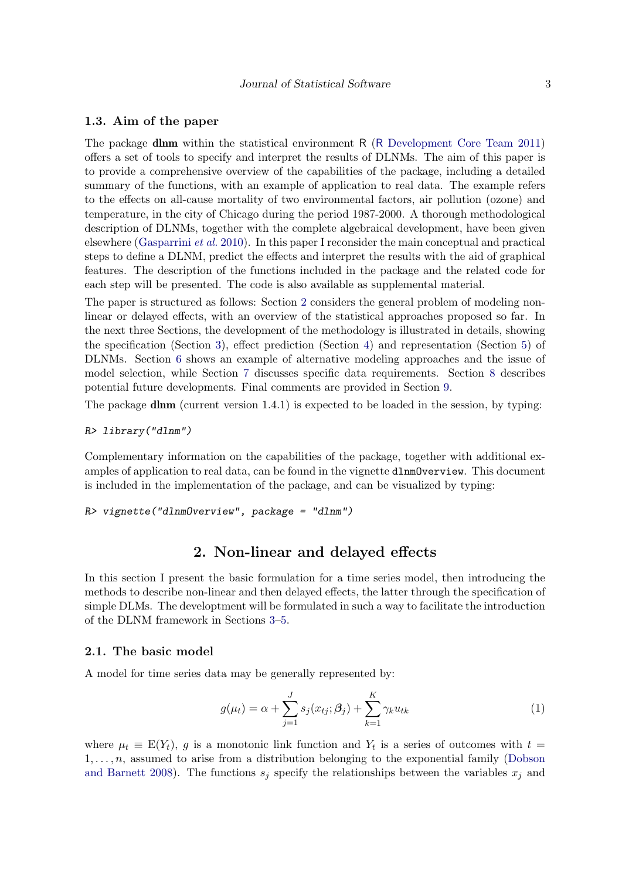### <span id="page-2-1"></span>1.3. Aim of the paper

The package dlnm within the statistical environment R (R [Development Core Team](#page-18-6) [2011\)](#page-18-6) offers a set of tools to specify and interpret the results of DLNMs. The aim of this paper is to provide a comprehensive overview of the capabilities of the package, including a detailed summary of the functions, with an example of application to real data. The example refers to the effects on all-cause mortality of two environmental factors, air pollution (ozone) and temperature, in the city of Chicago during the period 1987-2000. A thorough methodological description of DLNMs, together with the complete algebraical development, have been given elsewhere [\(Gasparrini](#page-17-5) et al. [2010\)](#page-17-5). In this paper I reconsider the main conceptual and practical steps to define a DLNM, predict the effects and interpret the results with the aid of graphical features. The description of the functions included in the package and the related code for each step will be presented. The code is also available as supplemental material.

The paper is structured as follows: Section [2](#page-2-0) considers the general problem of modeling nonlinear or delayed effects, with an overview of the statistical approaches proposed so far. In the next three Sections, the development of the methodology is illustrated in details, showing the specification (Section [3\)](#page-6-0), effect prediction (Section [4\)](#page-8-0) and representation (Section [5\)](#page-9-0) of DLNMs. Section [6](#page-12-0) shows an example of alternative modeling approaches and the issue of model selection, while Section [7](#page-15-0) discusses specific data requirements. Section [8](#page-15-1) describes potential future developments. Final comments are provided in Section [9.](#page-16-0)

The package dlnm (current version  $1.4.1$ ) is expected to be loaded in the session, by typing:

#### R> library("dlnm")

Complementary information on the capabilities of the package, together with additional examples of application to real data, can be found in the vignette dlnmOverview. This document is included in the implementation of the package, and can be visualized by typing:

R> vignette("dlnmOverview", package = "dlnm")

### 2. Non-linear and delayed effects

<span id="page-2-0"></span>In this section I present the basic formulation for a time series model, then introducing the methods to describe non-linear and then delayed effects, the latter through the specification of simple DLMs. The developtment will be formulated in such a way to facilitate the introduction of the DLNM framework in Sections [3–](#page-6-0)[5.](#page-9-0)

### <span id="page-2-3"></span>2.1. The basic model

A model for time series data may be generally represented by:

<span id="page-2-2"></span>
$$
g(\mu_t) = \alpha + \sum_{j=1}^{J} s_j(x_{tj}; \beta_j) + \sum_{k=1}^{K} \gamma_k u_{tk}
$$
 (1)

where  $\mu_t \equiv E(Y_t)$ , g is a monotonic link function and  $Y_t$  is a series of outcomes with  $t =$  $1, \ldots, n$ , assumed to arise from a distribution belonging to the exponential family [\(Dobson](#page-17-8) [and Barnett](#page-17-8) [2008\)](#page-17-8). The functions  $s_i$  specify the relationships between the variables  $x_i$  and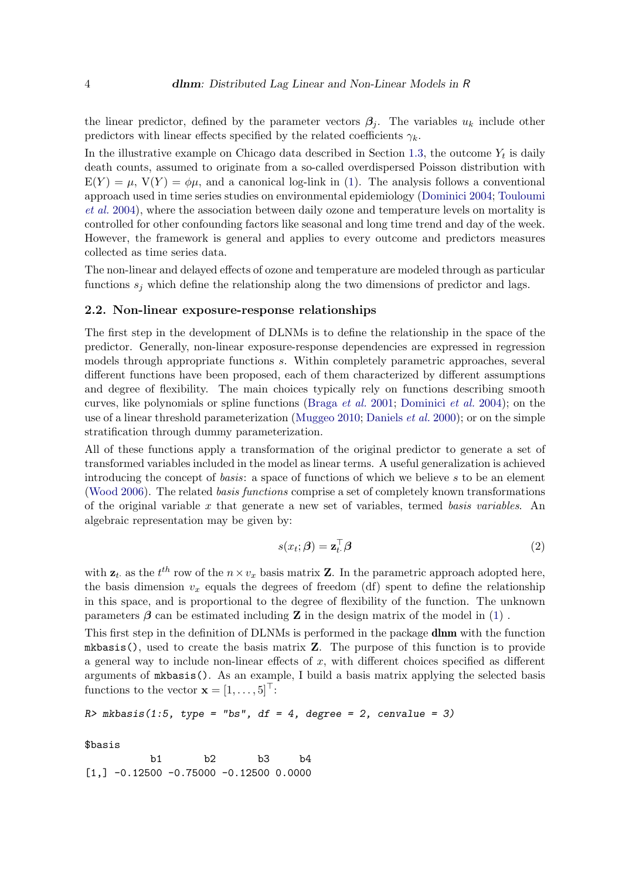the linear predictor, defined by the parameter vectors  $\beta_i$ . The variables  $u_k$  include other predictors with linear effects specified by the related coefficients  $\gamma_k$ .

In the illustrative example on Chicago data described in Section [1.3,](#page-2-1) the outcome  $Y_t$  is daily death counts, assumed to originate from a so-called overdispersed Poisson distribution with  $E(Y) = \mu$ ,  $V(Y) = \phi\mu$ , and a canonical log-link in [\(1\)](#page-2-2). The analysis follows a conventional approach used in time series studies on environmental epidemiology [\(Dominici](#page-17-9) [2004;](#page-17-9) [Touloumi](#page-18-7) [et al.](#page-18-7) [2004\)](#page-18-7), where the association between daily ozone and temperature levels on mortality is controlled for other confounding factors like seasonal and long time trend and day of the week. However, the framework is general and applies to every outcome and predictors measures collected as time series data.

The non-linear and delayed effects of ozone and temperature are modeled through as particular functions  $s_j$  which define the relationship along the two dimensions of predictor and lags.

#### <span id="page-3-0"></span>2.2. Non-linear exposure-response relationships

The first step in the development of DLNMs is to define the relationship in the space of the predictor. Generally, non-linear exposure-response dependencies are expressed in regression models through appropriate functions s. Within completely parametric approaches, several different functions have been proposed, each of them characterized by different assumptions and degree of flexibility. The main choices typically rely on functions describing smooth curves, like polynomials or spline functions [\(Braga](#page-17-0) et al. [2001;](#page-17-0) [Dominici](#page-17-10) et al. [2004\)](#page-17-10); on the use of a linear threshold parameterization [\(Muggeo](#page-18-5) [2010;](#page-18-5) [Daniels](#page-17-11) *et al.* [2000\)](#page-17-11); or on the simple stratification through dummy parameterization.

All of these functions apply a transformation of the original predictor to generate a set of transformed variables included in the model as linear terms. A useful generalization is achieved introducing the concept of basis: a space of functions of which we believe s to be an element [\(Wood](#page-18-8) [2006\)](#page-18-8). The related basis functions comprise a set of completely known transformations of the original variable x that generate a new set of variables, termed basis variables. An algebraic representation may be given by:

<span id="page-3-1"></span>
$$
s(x_t; \beta) = \mathbf{z}_t^{\top} \beta \tag{2}
$$

with  $z_t$  as the  $t^{th}$  row of the  $n \times v_x$  basis matrix Z. In the parametric approach adopted here, the basis dimension  $v_x$  equals the degrees of freedom (df) spent to define the relationship in this space, and is proportional to the degree of flexibility of the function. The unknown parameters  $\beta$  can be estimated including **Z** in the design matrix of the model in [\(1\)](#page-2-2).

This first step in the definition of DLNMs is performed in the package dlnm with the function mkbasis(), used to create the basis matrix  $\mathbf{Z}$ . The purpose of this function is to provide a general way to include non-linear effects of  $x$ , with different choices specified as different arguments of mkbasis(). As an example, I build a basis matrix applying the selected basis functions to the vector  $\mathbf{x} = [1, \ldots, 5]^{\top}$ :

```
R \geq mkbasis(1:5, type = "bs", df = 4, degree = 2, cenvalue = 3)
```
\$basis

b1 b2 b3 b4  $[1,] -0.12500 -0.75000 -0.12500 0.0000$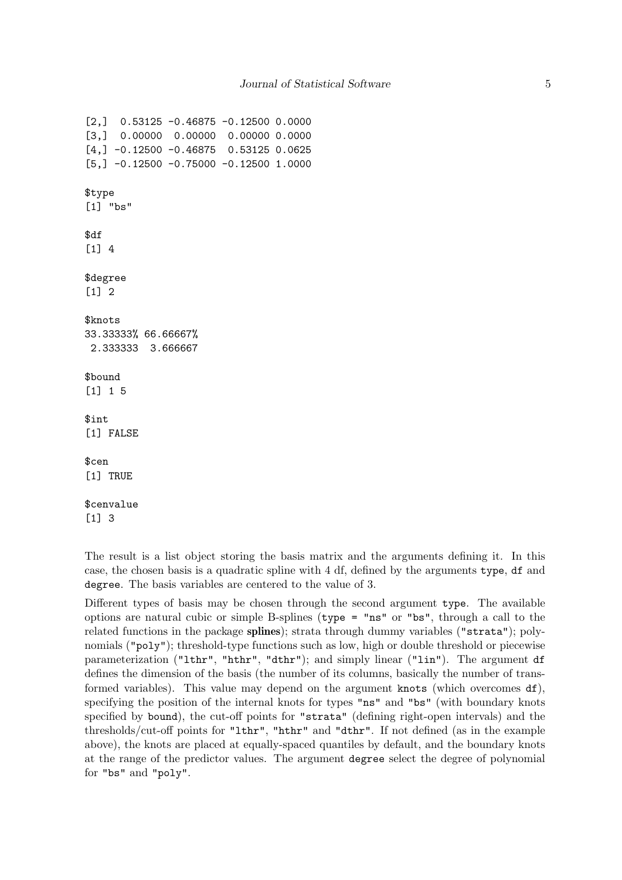```
[2,] 0.53125 -0.46875 -0.12500 0.0000
[3,] 0.00000 0.00000 0.00000 0.0000
[4,] -0.12500 -0.46875 0.53125 0.0625[5,] -0.12500 -0.75000 -0.12500 1.0000$type
[1] "bs"
$df
[1] 4
$degree
[1] 2
$knots
33.33333% 66.66667%
2.333333 3.666667
$bound
[1] 1 5
$int
[1] FALSE
$cen
[1] TRUE
$cenvalue
[1] 3
```
The result is a list object storing the basis matrix and the arguments defining it. In this case, the chosen basis is a quadratic spline with 4 df, defined by the arguments type, df and degree. The basis variables are centered to the value of 3.

Different types of basis may be chosen through the second argument type. The available options are natural cubic or simple B-splines (type = "ns" or "bs", through a call to the related functions in the package splines); strata through dummy variables ("strata"); polynomials ("poly"); threshold-type functions such as low, high or double threshold or piecewise parameterization ("lthr", "hthr", "dthr"); and simply linear ("lin"). The argument df defines the dimension of the basis (the number of its columns, basically the number of transformed variables). This value may depend on the argument knots (which overcomes df), specifying the position of the internal knots for types "ns" and "bs" (with boundary knots specified by bound), the cut-off points for "strata" (defining right-open intervals) and the thresholds/cut-off points for "lthr", "hthr" and "dthr". If not defined (as in the example above), the knots are placed at equally-spaced quantiles by default, and the boundary knots at the range of the predictor values. The argument degree select the degree of polynomial for "bs" and "poly".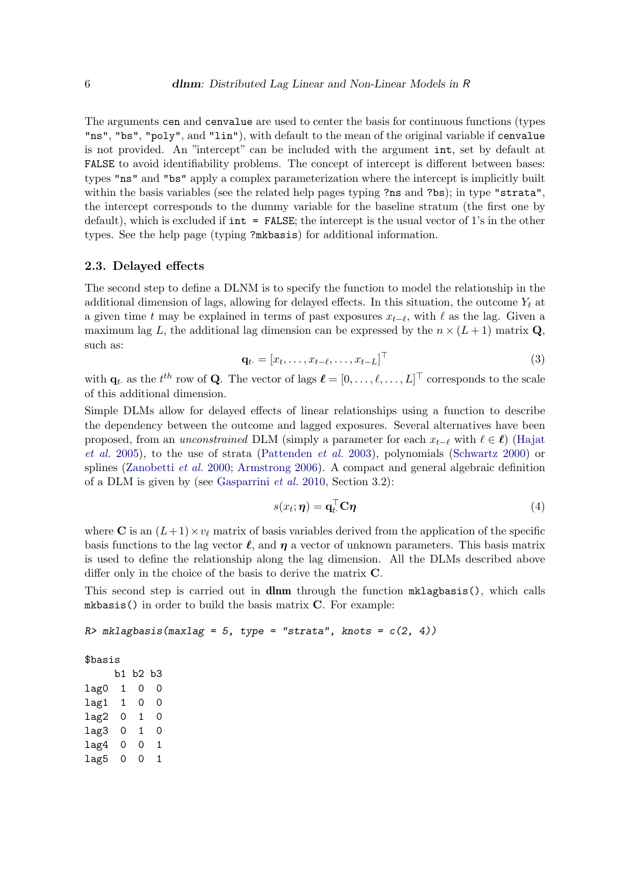The arguments cen and cenvalue are used to center the basis for continuous functions (types "ns", "bs", "poly", and "lin"), with default to the mean of the original variable if cenvalue is not provided. An "intercept" can be included with the argument int, set by default at FALSE to avoid identifiability problems. The concept of intercept is different between bases: types "ns" and "bs" apply a complex parameterization where the intercept is implicitly built within the basis variables (see the related help pages typing ?ns and ?bs); in type "strata", the intercept corresponds to the dummy variable for the baseline stratum (the first one by default), which is excluded if  $int = FALSE$ ; the intercept is the usual vector of 1's in the other types. See the help page (typing ?mkbasis) for additional information.

### <span id="page-5-0"></span>2.3. Delayed effects

The second step to define a DLNM is to specify the function to model the relationship in the additional dimension of lags, allowing for delayed effects. In this situation, the outcome  $Y_t$  at a given time t may be explained in terms of past exposures  $x_{t-\ell}$ , with  $\ell$  as the lag. Given a maximum lag L, the additional lag dimension can be expressed by the  $n \times (L+1)$  matrix Q, such as:

$$
\mathbf{q}_t = [x_t, \dots, x_{t-\ell}, \dots, x_{t-L}]^\top
$$
\n(3)

<span id="page-5-1"></span>with  $\mathbf{q}_t$  as the  $t^{th}$  row of Q. The vector of lags  $\boldsymbol{\ell} = [0, \ldots, \ell, \ldots, L]^\top$  corresponds to the scale of this additional dimension.

Simple DLMs allow for delayed effects of linear relationships using a function to describe the dependency between the outcome and lagged exposures. Several alternatives have been proposed, from an *unconstrained* DLM (simply a parameter for each  $x_{t-\ell}$  with  $\ell \in \ell$ ) [\(Hajat](#page-17-12) [et al.](#page-17-12) [2005\)](#page-17-12), to the use of strata [\(Pattenden](#page-18-9) et al. [2003\)](#page-18-9), polynomials [\(Schwartz](#page-18-2) [2000\)](#page-18-2) or splines [\(Zanobetti](#page-18-3) et al. [2000;](#page-18-3) [Armstrong](#page-17-6) [2006\)](#page-17-6). A compact and general algebraic definition of a DLM is given by (see [Gasparrini](#page-17-5) et al. [2010,](#page-17-5) Section 3.2):

<span id="page-5-2"></span>
$$
s(x_t; \boldsymbol{\eta}) = \mathbf{q}_t^{\top} \mathbf{C} \boldsymbol{\eta} \tag{4}
$$

where C is an  $(L+1)\times v_\ell$  matrix of basis variables derived from the application of the specific basis functions to the lag vector  $\ell$ , and  $\eta$  a vector of unknown parameters. This basis matrix is used to define the relationship along the lag dimension. All the DLMs described above differ only in the choice of the basis to derive the matrix C.

This second step is carried out in **dlnm** through the function mklagbasis(), which calls mkbasis() in order to build the basis matrix C. For example:

```
R> mklagbasis(maxlag = 5, type = "strata", knots = c(2, 4))
```
\$basis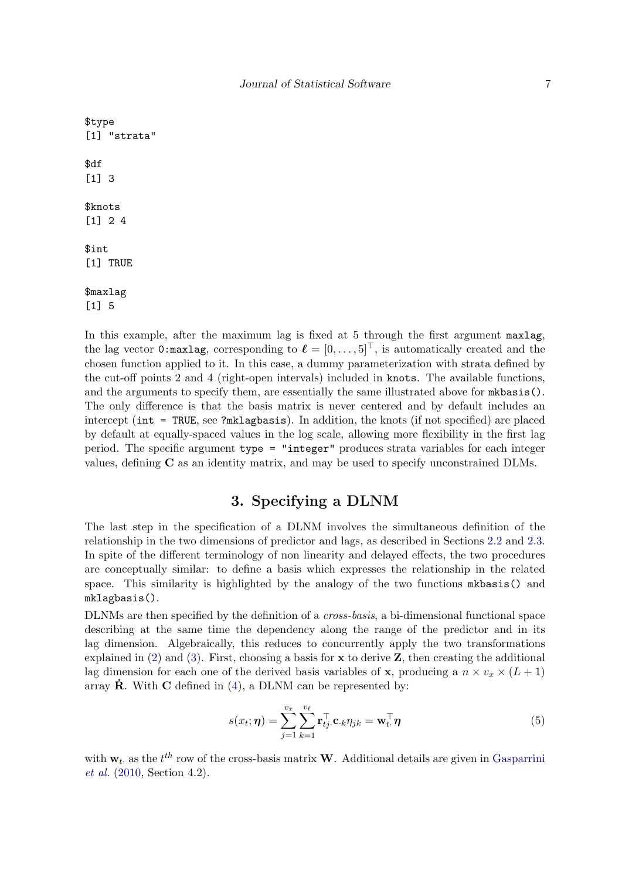```
$type
[1] "strata"
$df
[1] 3
$knots
[1] 2 4
$int
[1] TRUE
$maxlag
```
[1] 5

In this example, after the maximum lag is fixed at 5 through the first argument maxlag, the lag vector 0:maxlag, corresponding to  $\ell = [0, \ldots, 5]^T$ , is automatically created and the chosen function applied to it. In this case, a dummy parameterization with strata defined by the cut-off points 2 and 4 (right-open intervals) included in knots. The available functions, and the arguments to specify them, are essentially the same illustrated above for mkbasis(). The only difference is that the basis matrix is never centered and by default includes an intercept (int = TRUE, see ?mklagbasis). In addition, the knots (if not specified) are placed by default at equally-spaced values in the log scale, allowing more flexibility in the first lag period. The specific argument type = "integer" produces strata variables for each integer values, defining C as an identity matrix, and may be used to specify unconstrained DLMs.

# 3. Specifying a DLNM

<span id="page-6-0"></span>The last step in the specification of a DLNM involves the simultaneous definition of the relationship in the two dimensions of predictor and lags, as described in Sections [2.2](#page-3-0) and [2.3.](#page-5-0) In spite of the different terminology of non linearity and delayed effects, the two procedures are conceptually similar: to define a basis which expresses the relationship in the related space. This similarity is highlighted by the analogy of the two functions mkbasis() and mklagbasis().

DLNMs are then specified by the definition of a cross-basis, a bi-dimensional functional space describing at the same time the dependency along the range of the predictor and in its lag dimension. Algebraically, this reduces to concurrently apply the two transformations explained in  $(2)$  and  $(3)$ . First, choosing a basis for **x** to derive **Z**, then creating the additional lag dimension for each one of the derived basis variables of **x**, producing a  $n \times v_x \times (L+1)$ array  $\dot{\mathbf{R}}$ . With  $\mathbf{C}$  defined in [\(4\)](#page-5-2), a DLNM can be represented by:

<span id="page-6-1"></span>
$$
s(x_t; \boldsymbol{\eta}) = \sum_{j=1}^{v_x} \sum_{k=1}^{v_\ell} \mathbf{r}_{tj}^\top \mathbf{c}_{\cdot k} \eta_{jk} = \mathbf{w}_{t\cdot}^\top \boldsymbol{\eta}
$$
(5)

with  $w_t$  as the  $t^{th}$  row of the cross-basis matrix **W**. Additional details are given in [Gasparrini](#page-17-5) [et al.](#page-17-5) [\(2010,](#page-17-5) Section 4.2).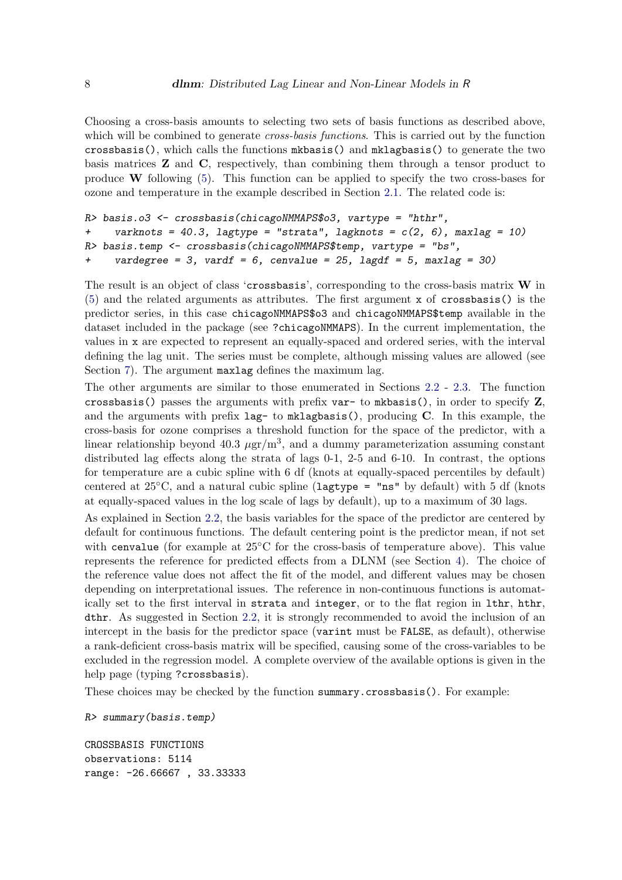Choosing a cross-basis amounts to selecting two sets of basis functions as described above, which will be combined to generate *cross-basis functions*. This is carried out by the function crossbasis(), which calls the functions mkbasis() and mklagbasis() to generate the two basis matrices Z and C, respectively, than combining them through a tensor product to produce W following  $(5)$ . This function can be applied to specify the two cross-bases for ozone and temperature in the example described in Section [2.1.](#page-2-3) The related code is:

```
R> basis.o3 <- crossbasis(chicagoNMMAPS$o3, vartype = "hthr",
+ varknots = 40.3, lagtype = "strata", lagknots = c(2, 6), maxlag = 10)
R> basis.temp <- crossbasis(chicagoNMMAPS$temp, vartype = "bs",
+ vardegree = 3, vardf = 6, cenvalue = 25, lagdf = 5, maxlag = 30)
```
The result is an object of class 'crossbasis', corresponding to the cross-basis matrix  $W$  in [\(5\)](#page-6-1) and the related arguments as attributes. The first argument x of crossbasis() is the predictor series, in this case chicagoNMMAPS\$o3 and chicagoNMMAPS\$temp available in the dataset included in the package (see ?chicagoNMMAPS). In the current implementation, the values in x are expected to represent an equally-spaced and ordered series, with the interval defining the lag unit. The series must be complete, although missing values are allowed (see Section [7\)](#page-15-0). The argument maxlag defines the maximum lag.

The other arguments are similar to those enumerated in Sections [2.2](#page-3-0) - [2.3.](#page-5-0) The function crossbasis() passes the arguments with prefix var- to mkbasis(), in order to specify  $Z$ , and the arguments with prefix  $lag-$  to  $mklag basis()$ , producing C. In this example, the cross-basis for ozone comprises a threshold function for the space of the predictor, with a linear relationship beyond 40.3  $\mu$ gr/m<sup>3</sup>, and a dummy parameterization assuming constant distributed lag effects along the strata of lags 0-1, 2-5 and 6-10. In contrast, the options for temperature are a cubic spline with 6 df (knots at equally-spaced percentiles by default) centered at  $25^{\circ}$ C, and a natural cubic spline (lagtype = "ns" by default) with 5 df (knots at equally-spaced values in the log scale of lags by default), up to a maximum of 30 lags.

As explained in Section [2.2,](#page-3-0) the basis variables for the space of the predictor are centered by default for continuous functions. The default centering point is the predictor mean, if not set with cenvalue (for example at 25<sup>°</sup>C for the cross-basis of temperature above). This value represents the reference for predicted effects from a DLNM (see Section [4\)](#page-8-0). The choice of the reference value does not affect the fit of the model, and different values may be chosen depending on interpretational issues. The reference in non-continuous functions is automatically set to the first interval in strata and integer, or to the flat region in lthr, hthr, dthr. As suggested in Section [2.2,](#page-3-0) it is strongly recommended to avoid the inclusion of an intercept in the basis for the predictor space (varint must be FALSE, as default), otherwise a rank-deficient cross-basis matrix will be specified, causing some of the cross-variables to be excluded in the regression model. A complete overview of the available options is given in the help page (typing ?crossbasis).

These choices may be checked by the function summary.crossbasis(). For example:

R> summary(basis.temp)

CROSSBASIS FUNCTIONS observations: 5114 range: -26.66667 , 33.33333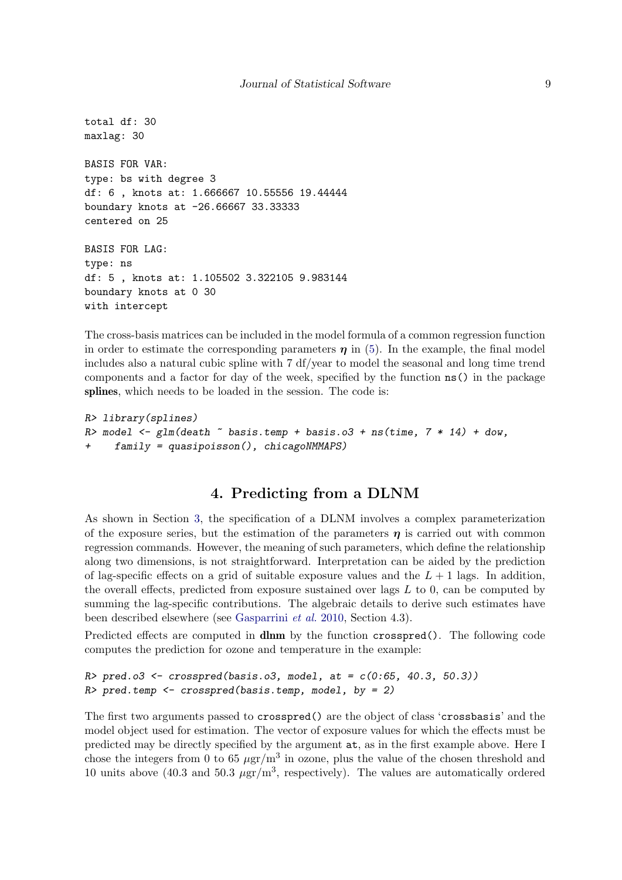```
total df: 30
maxlag: 30
BASIS FOR VAR:
type: bs with degree 3
df: 6 , knots at: 1.666667 10.55556 19.44444
boundary knots at -26.66667 33.33333
centered on 25
BASIS FOR LAG:
type: ns
df: 5 , knots at: 1.105502 3.322105 9.983144
boundary knots at 0 30
with intercept
```
The cross-basis matrices can be included in the model formula of a common regression function in order to estimate the corresponding parameters  $\eta$  in [\(5\)](#page-6-1). In the example, the final model includes also a natural cubic spline with 7 df/year to model the seasonal and long time trend components and a factor for day of the week, specified by the function ns() in the package splines, which needs to be loaded in the session. The code is:

```
R> library(splines)
R> model \leq glm(death \sim basis.temp + basis.o3 + ns(time, 7 * 14) + dow,
+ family = quasipoisson(), chicagoNMMAPS)
```
# 4. Predicting from a DLNM

<span id="page-8-0"></span>As shown in Section [3,](#page-6-0) the specification of a DLNM involves a complex parameterization of the exposure series, but the estimation of the parameters  $\eta$  is carried out with common regression commands. However, the meaning of such parameters, which define the relationship along two dimensions, is not straightforward. Interpretation can be aided by the prediction of lag-specific effects on a grid of suitable exposure values and the  $L + 1$  lags. In addition, the overall effects, predicted from exposure sustained over lags  $L$  to 0, can be computed by summing the lag-specific contributions. The algebraic details to derive such estimates have been described elsewhere (see [Gasparrini](#page-17-5) et al. [2010,](#page-17-5) Section 4.3).

Predicted effects are computed in **dlnm** by the function **crosspred**(). The following code computes the prediction for ozone and temperature in the example:

```
R> pred.o3 <- crosspred(basis.o3, model, at = c(0.65, 40.3, 50.3))
R> pred.temp <- crosspred(basis.temp, model, by = 2)
```
The first two arguments passed to crosspred() are the object of class 'crossbasis' and the model object used for estimation. The vector of exposure values for which the effects must be predicted may be directly specified by the argument at, as in the first example above. Here I chose the integers from 0 to 65  $\mu$ gr/m<sup>3</sup> in ozone, plus the value of the chosen threshold and 10 units above (40.3 and 50.3  $\mu$ gr/m<sup>3</sup>, respectively). The values are automatically ordered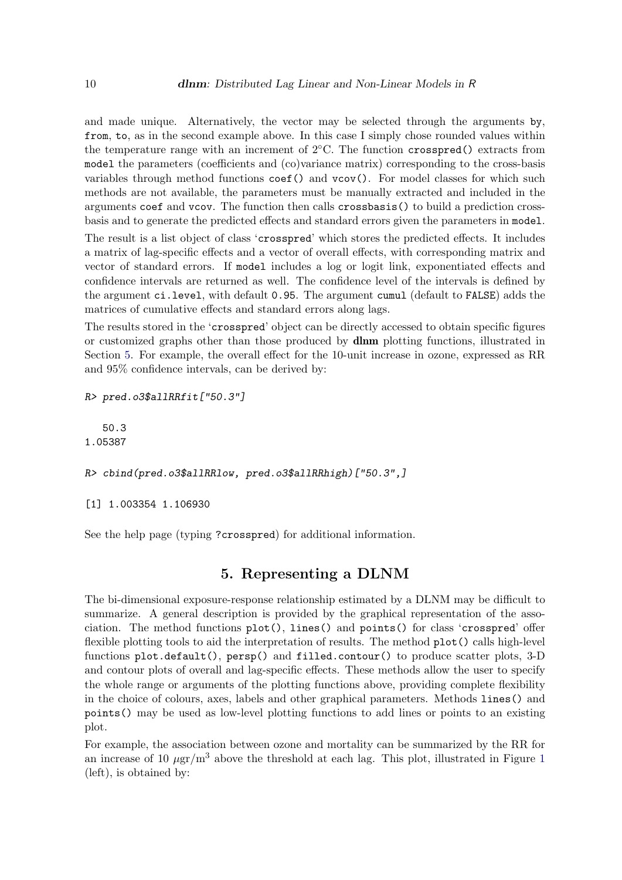and made unique. Alternatively, the vector may be selected through the arguments by, from, to, as in the second example above. In this case I simply chose rounded values within the temperature range with an increment of  $2^{\circ}$ C. The function crosspred() extracts from model the parameters (coefficients and (co)variance matrix) corresponding to the cross-basis variables through method functions coef() and vcov(). For model classes for which such methods are not available, the parameters must be manually extracted and included in the arguments coef and vcov. The function then calls crossbasis() to build a prediction crossbasis and to generate the predicted effects and standard errors given the parameters in model.

The result is a list object of class 'crosspred' which stores the predicted effects. It includes a matrix of lag-specific effects and a vector of overall effects, with corresponding matrix and vector of standard errors. If model includes a log or logit link, exponentiated effects and confidence intervals are returned as well. The confidence level of the intervals is defined by the argument ci.level, with default 0.95. The argument cumul (default to FALSE) adds the matrices of cumulative effects and standard errors along lags.

The results stored in the 'crosspred' object can be directly accessed to obtain specific figures or customized graphs other than those produced by dlnm plotting functions, illustrated in Section [5.](#page-9-0) For example, the overall effect for the 10-unit increase in ozone, expressed as RR and 95% confidence intervals, can be derived by:

R> pred.o3\$allRRfit["50.3"]

50.3 1.05387

R> cbind(pred.o3\$allRRlow, pred.o3\$allRRhigh)["50.3",]

[1] 1.003354 1.106930

See the help page (typing ?crosspred) for additional information.

# 5. Representing a DLNM

<span id="page-9-0"></span>The bi-dimensional exposure-response relationship estimated by a DLNM may be difficult to summarize. A general description is provided by the graphical representation of the association. The method functions  $plot()$ , lines() and points() for class 'crosspred' offer flexible plotting tools to aid the interpretation of results. The method plot() calls high-level functions plot.default(), persp() and filled.contour() to produce scatter plots, 3-D and contour plots of overall and lag-specific effects. These methods allow the user to specify the whole range or arguments of the plotting functions above, providing complete flexibility in the choice of colours, axes, labels and other graphical parameters. Methods lines() and points() may be used as low-level plotting functions to add lines or points to an existing plot.

For example, the association between ozone and mortality can be summarized by the RR for an increase of [1](#page-10-0)0  $\mu$ gr/m<sup>3</sup> above the threshold at each lag. This plot, illustrated in Figure 1 (left), is obtained by: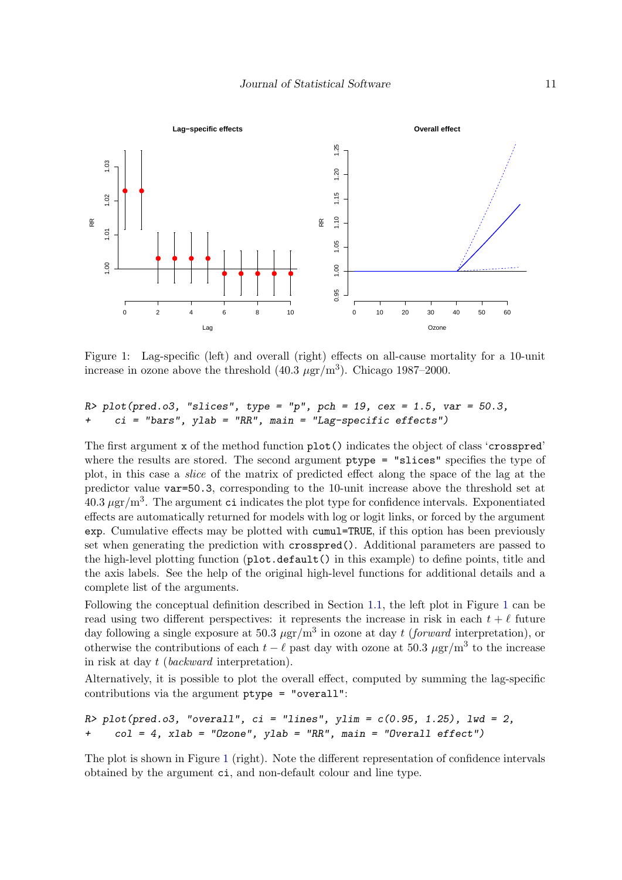<span id="page-10-0"></span>

Figure 1: Lag-specific (left) and overall (right) effects on all-cause mortality for a 10-unit increase in ozone above the threshold  $(40.3 \ \mu gr/m^3)$ . Chicago 1987–2000.

### $R$  > plot(pred.o3, "slices", type = "p", pch = 19, cex = 1.5, var = 50.3,  $ci$  = "bars", ylab = "RR", main = "Lag-specific effects")

The first argument x of the method function plot() indicates the object of class 'crosspred' where the results are stored. The second argument ptype = "slices" specifies the type of plot, in this case a slice of the matrix of predicted effect along the space of the lag at the predictor value var=50.3, corresponding to the 10-unit increase above the threshold set at  $40.3 \,\mu\text{gr}/\text{m}^3$ . The argument ci indicates the plot type for confidence intervals. Exponentiated effects are automatically returned for models with log or logit links, or forced by the argument exp. Cumulative effects may be plotted with cumul=TRUE, if this option has been previously set when generating the prediction with crosspred(). Additional parameters are passed to the high-level plotting function (plot.default() in this example) to define points, title and the axis labels. See the help of the original high-level functions for additional details and a complete list of the arguments.

Following the conceptual definition described in Section [1.1,](#page-0-0) the left plot in Figure [1](#page-10-0) can be read using two different perspectives: it represents the increase in risk in each  $t + \ell$  future day following a single exposure at 50.3  $\mu$ gr/m<sup>3</sup> in ozone at day t (forward interpretation), or otherwise the contributions of each  $t - \ell$  past day with ozone at 50.3  $\mu$ gr/m<sup>3</sup> to the increase in risk at day t (backward interpretation).

Alternatively, it is possible to plot the overall effect, computed by summing the lag-specific contributions via the argument ptype = "overall":

```
R plot(pred.o3, "overall", ci = "lines", ylim = c(0.95, 1.25), lwd = 2,
+ col = 4, xlab = "Ozone", ylab = "RR", main = "Overall effect")
```
The plot is shown in Figure [1](#page-10-0) (right). Note the different representation of confidence intervals obtained by the argument ci, and non-default colour and line type.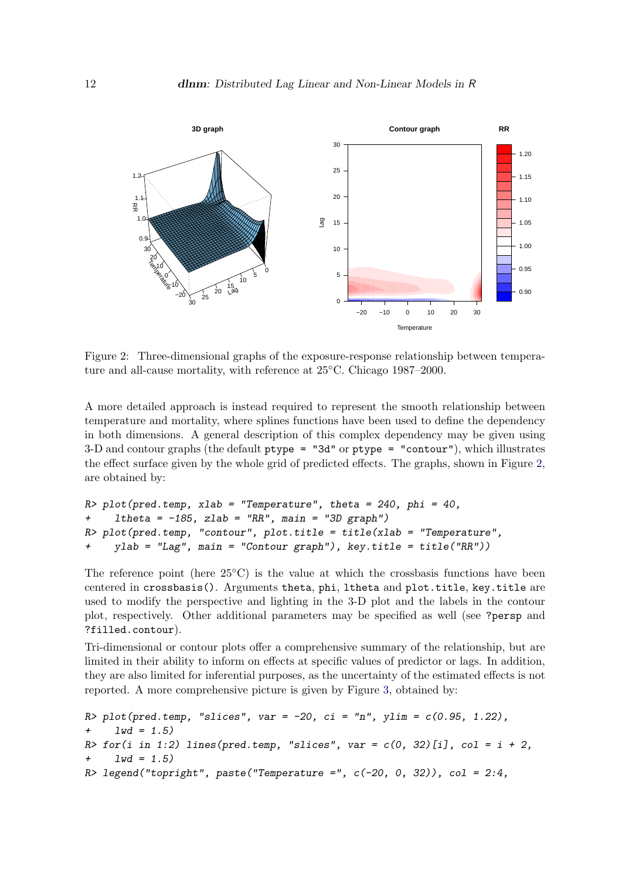<span id="page-11-0"></span>

Figure 2: Three-dimensional graphs of the exposure-response relationship between temperature and all-cause mortality, with reference at 25◦C. Chicago 1987–2000.

A more detailed approach is instead required to represent the smooth relationship between temperature and mortality, where splines functions have been used to define the dependency in both dimensions. A general description of this complex dependency may be given using 3-D and contour graphs (the default ptype = "3d" or ptype = "contour"), which illustrates the effect surface given by the whole grid of predicted effects. The graphs, shown in Figure [2,](#page-11-0) are obtained by:

```
R> plot(pred.temp, xlab = "Temperature", theta = 240, phi = 40,
+ ltheta = -185, zlab = "RR", main = "3D graph")
R> plot(pred.temp, "contour", plot.title = title(xlab = "Temperature",
+ ylab = "Lag", main = "Contour graph"), key.title = title("RR"))
```
The reference point (here  $25^{\circ}$ C) is the value at which the crossbasis functions have been centered in crossbasis(). Arguments theta, phi, ltheta and plot.title, key.title are used to modify the perspective and lighting in the 3-D plot and the labels in the contour plot, respectively. Other additional parameters may be specified as well (see ?persp and ?filled.contour).

Tri-dimensional or contour plots offer a comprehensive summary of the relationship, but are limited in their ability to inform on effects at specific values of predictor or lags. In addition, they are also limited for inferential purposes, as the uncertainty of the estimated effects is not reported. A more comprehensive picture is given by Figure [3,](#page-12-1) obtained by:

```
R> plot(pred.temp, "slices", var = -20, ci = "n", ylim = c(0.95, 1.22),
+ 1wd = 1.5)
R> for(i in 1:2) lines(pred.temp, "slices", var = c(0, 32)[i], col = i + 2,
+ 1wd = 1.5R> legend("topright", paste("Temperature =", c(-20, 0, 32)), col = 2:4,
```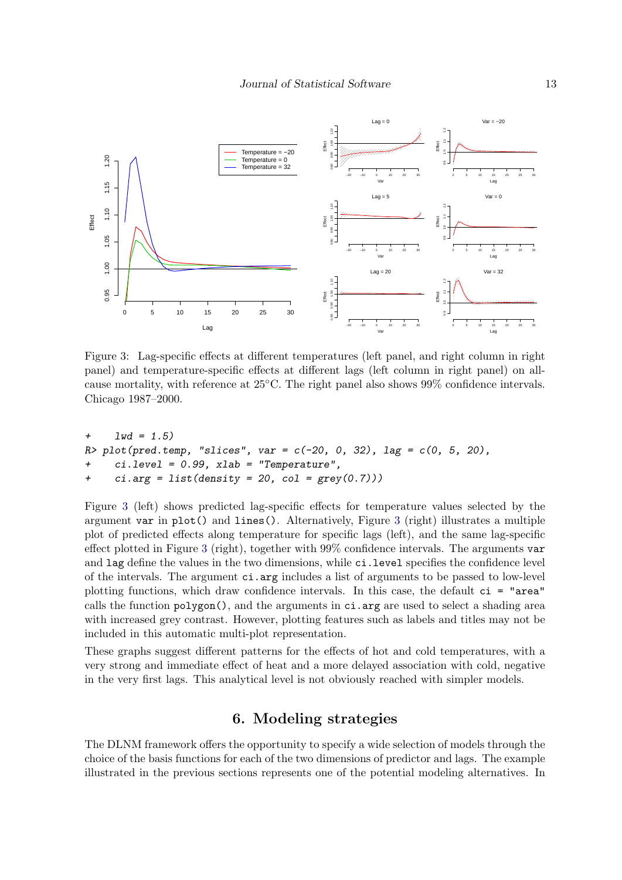<span id="page-12-1"></span>

Figure 3: Lag-specific effects at different temperatures (left panel, and right column in right panel) and temperature-specific effects at different lags (left column in right panel) on allcause mortality, with reference at 25◦C. The right panel also shows 99% confidence intervals. Chicago 1987–2000.

```
+ 1wd = 1.5)
R plot(pred.temp, "slices", var = c(-20, 0, 32), lag = c(0, 5, 20),
+ ci.level = 0.99, xlab = "Temperature",
+ ci.arg = list(density = 20, col = grey(0.7)))
```
Figure [3](#page-12-1) (left) shows predicted lag-specific effects for temperature values selected by the argument var in plot() and lines(). Alternatively, Figure [3](#page-12-1) (right) illustrates a multiple plot of predicted effects along temperature for specific lags (left), and the same lag-specific effect plotted in Figure [3](#page-12-1) (right), together with 99% confidence intervals. The arguments var and lag define the values in the two dimensions, while ci.level specifies the confidence level of the intervals. The argument ci.arg includes a list of arguments to be passed to low-level plotting functions, which draw confidence intervals. In this case, the default ci = "area" calls the function polygon(), and the arguments in ci.arg are used to select a shading area with increased grey contrast. However, plotting features such as labels and titles may not be included in this automatic multi-plot representation.

These graphs suggest different patterns for the effects of hot and cold temperatures, with a very strong and immediate effect of heat and a more delayed association with cold, negative in the very first lags. This analytical level is not obviously reached with simpler models.

# 6. Modeling strategies

<span id="page-12-0"></span>The DLNM framework offers the opportunity to specify a wide selection of models through the choice of the basis functions for each of the two dimensions of predictor and lags. The example illustrated in the previous sections represents one of the potential modeling alternatives. In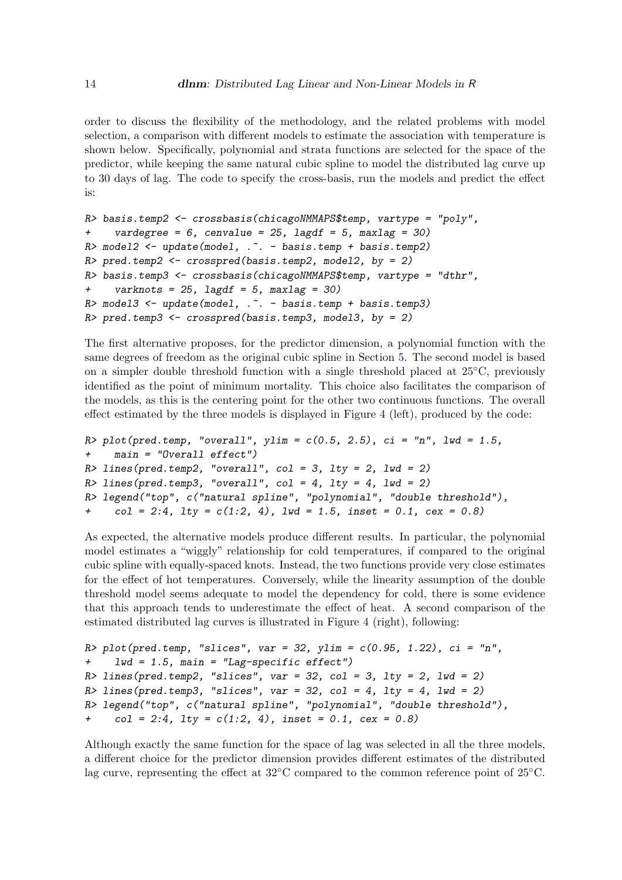order to discuss the flexibility of the methodology, and the related problems with model selection, a comparison with different models to estimate the association with temperature is shown below. Specifically, polynomial and strata functions are selected for the space of the predictor, while keeping the same natural cubic spline to model the distributed lag curve up to 30 days of lag. The code to specify the cross-basis, run the models and predict the effect is:

```
R> basis.temp2 <- crossbasis(chicagoNMMAPS$temp, vartype = "poly",
+ vardegree = 6, cenvalue = 25, lagdf = 5, maxlag = 30)
R> model2 <- update(model, .<sup>~</sup>. - basis.temp + basis.temp2)
R> pred.temp2 <- crosspred(basis.temp2, model2, by = 2)
R> basis.temp3 <- crossbasis(chicagoNMMAPS$temp, vartype = "dthr",
+ varknots = 25, lagdf = 5, maxlag = 30)
R model3 <- update(model, \ldots - basis.temp + basis.temp3)
R> pred.temp3 <- crosspred(basis.temp3, model3, by = 2)
```
The first alternative proposes, for the predictor dimension, a polynomial function with the same degrees of freedom as the original cubic spline in Section [5.](#page-9-0) The second model is based on a simpler double threshold function with a single threshold placed at  $25°C$ , previously identified as the point of minimum mortality. This choice also facilitates the comparison of the models, as this is the centering point for the other two continuous functions. The overall effect estimated by the three models is displayed in Figure [4](#page-14-0) (left), produced by the code:

```
R> plot(pred.temp, "overall", ylim = c(0.5, 2.5), ci = "n", lwd = 1.5,
+ main = "Overall effect")
R > lines(pred.temp2, "overall", col = 3, lty = 2, lwd = 2)
R > lines(pred.temp3, "overall", col = 4, lty = 4, lwd = 2)
R> legend("top", c("natural spline", "polynomial", "double threshold"),
+ col = 2:4, lty = c(1:2, 4), lwd = 1.5, inset = 0.1, cex = 0.8)
```
As expected, the alternative models produce different results. In particular, the polynomial model estimates a "wiggly" relationship for cold temperatures, if compared to the original cubic spline with equally-spaced knots. Instead, the two functions provide very close estimates for the effect of hot temperatures. Conversely, while the linearity assumption of the double threshold model seems adequate to model the dependency for cold, there is some evidence that this approach tends to underestimate the effect of heat. A second comparison of the estimated distributed lag curves is illustrated in Figure [4](#page-14-0) (right), following:

```
R> plot(pred.temp, "slices", var = 32, ylim = c(0.95, 1.22), ci = "n",
+ lwd = 1.5, main = "Lag-specific effect")
R> lines(pred.temp2, "slices", var = 32, col = 3, lty = 2, lwd = 2)
R> lines(pred.temp3, "slices", var = 32, col = 4, lty = 4, lwd = 2)
R> legend("top", c("natural spline", "polynomial", "double threshold"),
+ col = 2:4, lty = c(1:2, 4), inset = 0.1, cex = 0.8)
```
Although exactly the same function for the space of lag was selected in all the three models, a different choice for the predictor dimension provides different estimates of the distributed lag curve, representing the effect at 32◦C compared to the common reference point of 25◦C.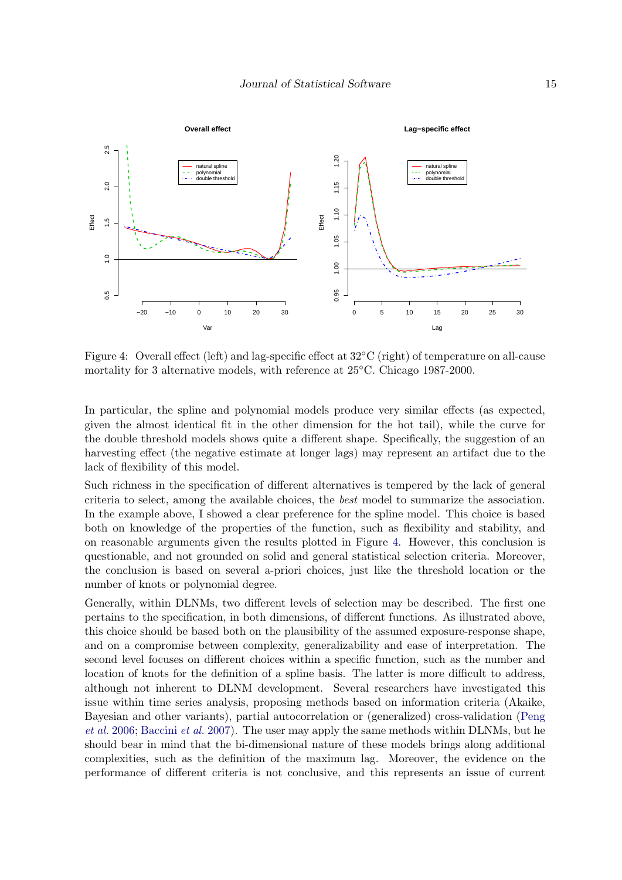<span id="page-14-0"></span>

Figure 4: Overall effect (left) and lag-specific effect at 32◦C (right) of temperature on all-cause mortality for 3 alternative models, with reference at 25◦C. Chicago 1987-2000.

In particular, the spline and polynomial models produce very similar effects (as expected, given the almost identical fit in the other dimension for the hot tail), while the curve for the double threshold models shows quite a different shape. Specifically, the suggestion of an harvesting effect (the negative estimate at longer lags) may represent an artifact due to the lack of flexibility of this model.

Such richness in the specification of different alternatives is tempered by the lack of general criteria to select, among the available choices, the best model to summarize the association. In the example above, I showed a clear preference for the spline model. This choice is based both on knowledge of the properties of the function, such as flexibility and stability, and on reasonable arguments given the results plotted in Figure [4.](#page-14-0) However, this conclusion is questionable, and not grounded on solid and general statistical selection criteria. Moreover, the conclusion is based on several a-priori choices, just like the threshold location or the number of knots or polynomial degree.

Generally, within DLNMs, two different levels of selection may be described. The first one pertains to the specification, in both dimensions, of different functions. As illustrated above, this choice should be based both on the plausibility of the assumed exposure-response shape, and on a compromise between complexity, generalizability and ease of interpretation. The second level focuses on different choices within a specific function, such as the number and location of knots for the definition of a spline basis. The latter is more difficult to address, although not inherent to DLNM development. Several researchers have investigated this issue within time series analysis, proposing methods based on information criteria (Akaike, Bayesian and other variants), partial autocorrelation or (generalized) cross-validation [\(Peng](#page-18-10) [et al.](#page-18-10) [2006;](#page-18-10) [Baccini](#page-17-13) et al. [2007\)](#page-17-13). The user may apply the same methods within DLNMs, but he should bear in mind that the bi-dimensional nature of these models brings along additional complexities, such as the definition of the maximum lag. Moreover, the evidence on the performance of different criteria is not conclusive, and this represents an issue of current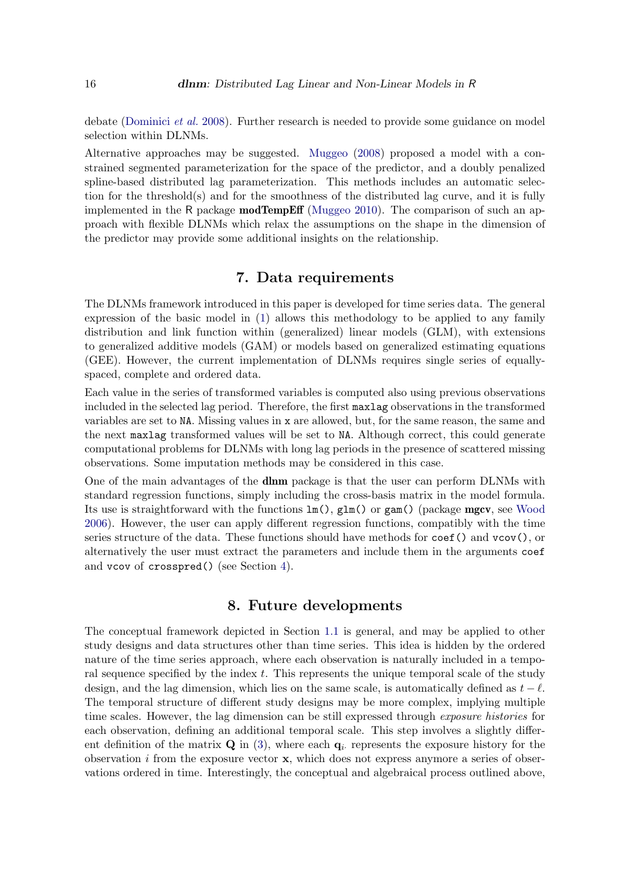debate [\(Dominici](#page-17-14) et al. [2008\)](#page-17-14). Further research is needed to provide some guidance on model selection within DLNMs.

Alternative approaches may be suggested. [Muggeo](#page-17-4) [\(2008\)](#page-17-4) proposed a model with a constrained segmented parameterization for the space of the predictor, and a doubly penalized spline-based distributed lag parameterization. This methods includes an automatic selection for the threshold(s) and for the smoothness of the distributed lag curve, and it is fully implemented in the R package **modTempEff** [\(Muggeo](#page-18-5) [2010\)](#page-18-5). The comparison of such an approach with flexible DLNMs which relax the assumptions on the shape in the dimension of the predictor may provide some additional insights on the relationship.

# 7. Data requirements

<span id="page-15-0"></span>The DLNMs framework introduced in this paper is developed for time series data. The general expression of the basic model in [\(1\)](#page-2-2) allows this methodology to be applied to any family distribution and link function within (generalized) linear models (GLM), with extensions to generalized additive models (GAM) or models based on generalized estimating equations (GEE). However, the current implementation of DLNMs requires single series of equallyspaced, complete and ordered data.

Each value in the series of transformed variables is computed also using previous observations included in the selected lag period. Therefore, the first maxlag observations in the transformed variables are set to NA. Missing values in x are allowed, but, for the same reason, the same and the next maxlag transformed values will be set to NA. Although correct, this could generate computational problems for DLNMs with long lag periods in the presence of scattered missing observations. Some imputation methods may be considered in this case.

One of the main advantages of the dlnm package is that the user can perform DLNMs with standard regression functions, simply including the cross-basis matrix in the model formula. Its use is straightforward with the functions  $\text{lm}()$ ,  $\text{glm}()$  or  $\text{gam}()$  (package **mgcv**, see [Wood](#page-18-8) [2006\)](#page-18-8). However, the user can apply different regression functions, compatibly with the time series structure of the data. These functions should have methods for  $\text{coef}(\text{)}$  and  $\text{vcov}(\text{)}$ , or alternatively the user must extract the parameters and include them in the arguments coef and vcov of crosspred() (see Section [4\)](#page-8-0).

# 8. Future developments

<span id="page-15-1"></span>The conceptual framework depicted in Section [1.1](#page-0-0) is general, and may be applied to other study designs and data structures other than time series. This idea is hidden by the ordered nature of the time series approach, where each observation is naturally included in a temporal sequence specified by the index  $t$ . This represents the unique temporal scale of the study design, and the lag dimension, which lies on the same scale, is automatically defined as  $t - \ell$ . The temporal structure of different study designs may be more complex, implying multiple time scales. However, the lag dimension can be still expressed through *exposure histories* for each observation, defining an additional temporal scale. This step involves a slightly different definition of the matrix  $\mathbf Q$  in [\(3\)](#page-5-1), where each  $\mathbf q_i$  represents the exposure history for the observation i from the exposure vector  $x$ , which does not express anymore a series of observations ordered in time. Interestingly, the conceptual and algebraical process outlined above,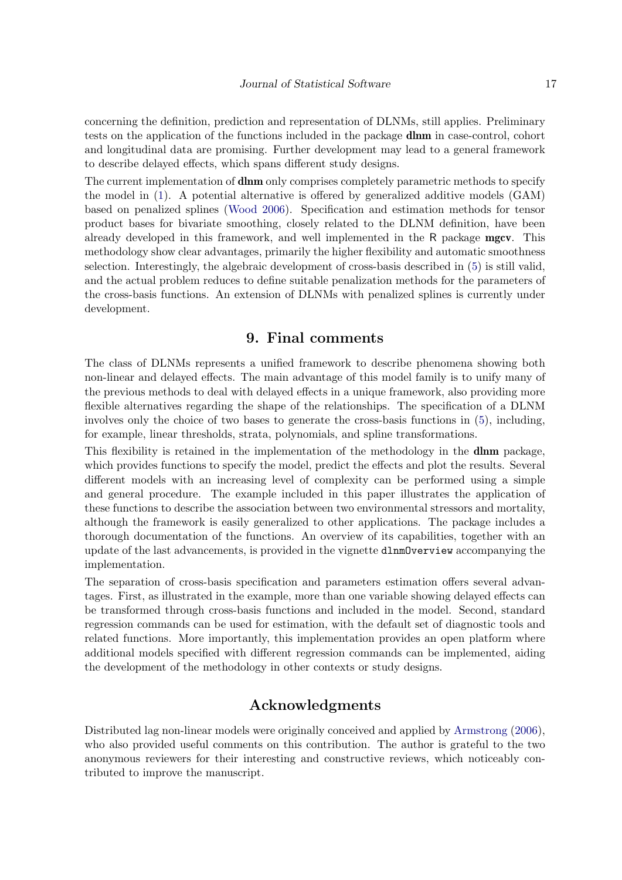concerning the definition, prediction and representation of DLNMs, still applies. Preliminary tests on the application of the functions included in the package dlnm in case-control, cohort and longitudinal data are promising. Further development may lead to a general framework to describe delayed effects, which spans different study designs.

The current implementation of **dlnm** only comprises completely parametric methods to specify the model in [\(1\)](#page-2-2). A potential alternative is offered by generalized additive models (GAM) based on penalized splines [\(Wood](#page-18-8) [2006\)](#page-18-8). Specification and estimation methods for tensor product bases for bivariate smoothing, closely related to the DLNM definition, have been already developed in this framework, and well implemented in the R package mgcv. This methodology show clear advantages, primarily the higher flexibility and automatic smoothness selection. Interestingly, the algebraic development of cross-basis described in [\(5\)](#page-6-1) is still valid, and the actual problem reduces to define suitable penalization methods for the parameters of the cross-basis functions. An extension of DLNMs with penalized splines is currently under development.

# 9. Final comments

<span id="page-16-0"></span>The class of DLNMs represents a unified framework to describe phenomena showing both non-linear and delayed effects. The main advantage of this model family is to unify many of the previous methods to deal with delayed effects in a unique framework, also providing more flexible alternatives regarding the shape of the relationships. The specification of a DLNM involves only the choice of two bases to generate the cross-basis functions in [\(5\)](#page-6-1), including, for example, linear thresholds, strata, polynomials, and spline transformations.

This flexibility is retained in the implementation of the methodology in the **dlnm** package, which provides functions to specify the model, predict the effects and plot the results. Several different models with an increasing level of complexity can be performed using a simple and general procedure. The example included in this paper illustrates the application of these functions to describe the association between two environmental stressors and mortality, although the framework is easily generalized to other applications. The package includes a thorough documentation of the functions. An overview of its capabilities, together with an update of the last advancements, is provided in the vignette dlnmOverview accompanying the implementation.

The separation of cross-basis specification and parameters estimation offers several advantages. First, as illustrated in the example, more than one variable showing delayed effects can be transformed through cross-basis functions and included in the model. Second, standard regression commands can be used for estimation, with the default set of diagnostic tools and related functions. More importantly, this implementation provides an open platform where additional models specified with different regression commands can be implemented, aiding the development of the methodology in other contexts or study designs.

# Acknowledgments

Distributed lag non-linear models were originally conceived and applied by [Armstrong](#page-17-6) [\(2006\)](#page-17-6), who also provided useful comments on this contribution. The author is grateful to the two anonymous reviewers for their interesting and constructive reviews, which noticeably contributed to improve the manuscript.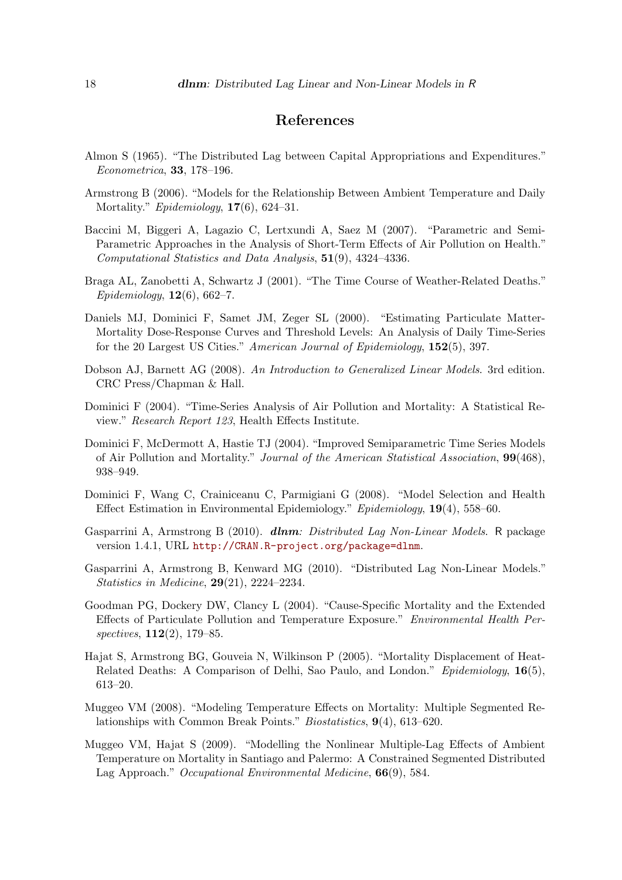# References

- <span id="page-17-2"></span>Almon S (1965). "The Distributed Lag between Capital Appropriations and Expenditures." Econometrica, 33, 178–196.
- <span id="page-17-6"></span>Armstrong B (2006). "Models for the Relationship Between Ambient Temperature and Daily Mortality." *Epidemiology*, **17**(6), 624–31.
- <span id="page-17-13"></span>Baccini M, Biggeri A, Lagazio C, Lertxundi A, Saez M (2007). "Parametric and Semi-Parametric Approaches in the Analysis of Short-Term Effects of Air Pollution on Health." Computational Statistics and Data Analysis, 51(9), 4324–4336.
- <span id="page-17-0"></span>Braga AL, Zanobetti A, Schwartz J (2001). "The Time Course of Weather-Related Deaths."  $Epidemiology, 12(6), 662-7.$
- <span id="page-17-11"></span>Daniels MJ, Dominici F, Samet JM, Zeger SL (2000). "Estimating Particulate Matter-Mortality Dose-Response Curves and Threshold Levels: An Analysis of Daily Time-Series for the 20 Largest US Cities." American Journal of Epidemiology, 152(5), 397.
- <span id="page-17-8"></span>Dobson AJ, Barnett AG (2008). An Introduction to Generalized Linear Models. 3rd edition. CRC Press/Chapman & Hall.
- <span id="page-17-9"></span>Dominici F (2004). "Time-Series Analysis of Air Pollution and Mortality: A Statistical Review." Research Report 123, Health Effects Institute.
- <span id="page-17-10"></span>Dominici F, McDermott A, Hastie TJ (2004). "Improved Semiparametric Time Series Models of Air Pollution and Mortality." Journal of the American Statistical Association, 99(468), 938–949.
- <span id="page-17-14"></span>Dominici F, Wang C, Crainiceanu C, Parmigiani G (2008). "Model Selection and Health Effect Estimation in Environmental Epidemiology." Epidemiology, 19(4), 558–60.
- <span id="page-17-7"></span>Gasparrini A, Armstrong B (2010). dlnm: Distributed Lag Non-Linear Models. R package version 1.4.1, URL <http://CRAN.R-project.org/package=dlnm>.
- <span id="page-17-5"></span>Gasparrini A, Armstrong B, Kenward MG (2010). "Distributed Lag Non-Linear Models." Statistics in Medicine, 29(21), 2224–2234.
- <span id="page-17-1"></span>Goodman PG, Dockery DW, Clancy L (2004). "Cause-Specific Mortality and the Extended Effects of Particulate Pollution and Temperature Exposure." Environmental Health Perspectives, **112**(2), 179–85.
- <span id="page-17-12"></span>Hajat S, Armstrong BG, Gouveia N, Wilkinson P (2005). "Mortality Displacement of Heat-Related Deaths: A Comparison of Delhi, Sao Paulo, and London." Epidemiology, 16(5), 613–20.
- <span id="page-17-4"></span>Muggeo VM (2008). "Modeling Temperature Effects on Mortality: Multiple Segmented Relationships with Common Break Points." Biostatistics, 9(4), 613–620.
- <span id="page-17-3"></span>Muggeo VM, Hajat S (2009). "Modelling the Nonlinear Multiple-Lag Effects of Ambient Temperature on Mortality in Santiago and Palermo: A Constrained Segmented Distributed Lag Approach." Occupational Environmental Medicine, **66**(9), 584.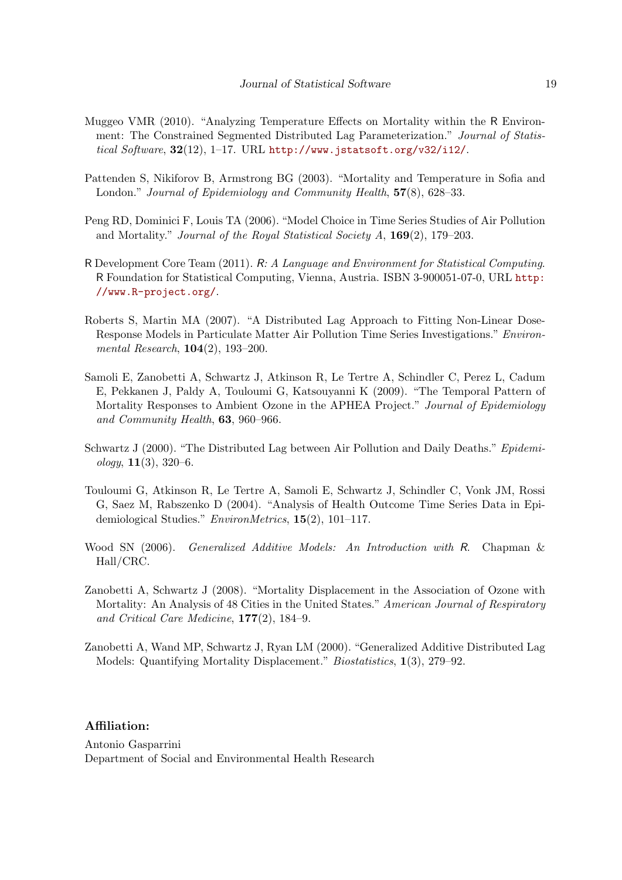- <span id="page-18-5"></span>Muggeo VMR (2010). "Analyzing Temperature Effects on Mortality within the R Environment: The Constrained Segmented Distributed Lag Parameterization." Journal of Statistical Software,  $32(12)$ , 1-17. URL <http://www.jstatsoft.org/v32/i12/>.
- <span id="page-18-9"></span>Pattenden S, Nikiforov B, Armstrong BG (2003). "Mortality and Temperature in Sofia and London." *Journal of Epidemiology and Community Health*, **57**(8), 628–33.
- <span id="page-18-10"></span>Peng RD, Dominici F, Louis TA (2006). "Model Choice in Time Series Studies of Air Pollution and Mortality." Journal of the Royal Statistical Society A, 169(2), 179–203.
- <span id="page-18-6"></span>R Development Core Team (2011). R: A Language and Environment for Statistical Computing. R Foundation for Statistical Computing, Vienna, Austria. ISBN 3-900051-07-0, URL [http:](http://www.R-project.org/) [//www.R-project.org/](http://www.R-project.org/).
- <span id="page-18-4"></span>Roberts S, Martin MA (2007). "A Distributed Lag Approach to Fitting Non-Linear Dose-Response Models in Particulate Matter Air Pollution Time Series Investigations." Environmental Research, 104(2), 193–200.
- <span id="page-18-0"></span>Samoli E, Zanobetti A, Schwartz J, Atkinson R, Le Tertre A, Schindler C, Perez L, Cadum E, Pekkanen J, Paldy A, Touloumi G, Katsouyanni K (2009). "The Temporal Pattern of Mortality Responses to Ambient Ozone in the APHEA Project." Journal of Epidemiology and Community Health, 63, 960–966.
- <span id="page-18-2"></span>Schwartz J (2000). "The Distributed Lag between Air Pollution and Daily Deaths." Epidemi $ology, 11(3), 320-6.$
- <span id="page-18-7"></span>Touloumi G, Atkinson R, Le Tertre A, Samoli E, Schwartz J, Schindler C, Vonk JM, Rossi G, Saez M, Rabszenko D (2004). "Analysis of Health Outcome Time Series Data in Epidemiological Studies." EnvironMetrics, 15(2), 101–117.
- <span id="page-18-8"></span>Wood SN (2006). Generalized Additive Models: An Introduction with R. Chapman & Hall/CRC.
- <span id="page-18-1"></span>Zanobetti A, Schwartz J (2008). "Mortality Displacement in the Association of Ozone with Mortality: An Analysis of 48 Cities in the United States." American Journal of Respiratory and Critical Care Medicine, 177(2), 184–9.
- <span id="page-18-3"></span>Zanobetti A, Wand MP, Schwartz J, Ryan LM (2000). "Generalized Additive Distributed Lag Models: Quantifying Mortality Displacement." Biostatistics, 1(3), 279–92.

### Affiliation:

Antonio Gasparrini Department of Social and Environmental Health Research